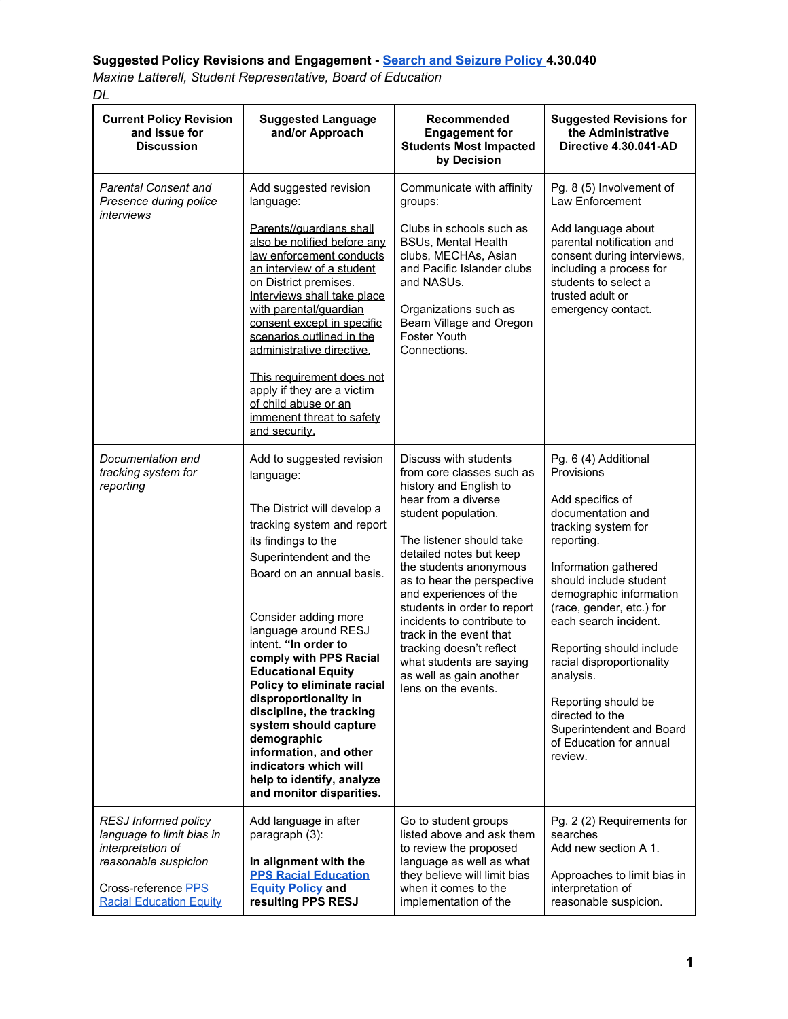## **Suggested Policy Revisions and Engagement - Search and [Seizure](https://www.pps.net/cms/lib/OR01913224/Centricity/Domain/219/20_02_10_Search%20and%20Seizure_Revised%20Redline%20Draft.pdf) Policy 4.30.040**

*Maxine Latterell, Student Representative, Board of Education DL*

| <b>Current Policy Revision</b><br>and Issue for<br><b>Discussion</b>                                                                                           | <b>Suggested Language</b><br>and/or Approach                                                                                                                                                                                                                                                                                                                                                                                                                                                                                                            | Recommended<br><b>Engagement for</b><br><b>Students Most Impacted</b><br>by Decision                                                                                                                                                                                                                                                                                                                                                                                  | <b>Suggested Revisions for</b><br>the Administrative<br>Directive 4.30.041-AD                                                                                                                                                                                                                                                                                                                                                        |
|----------------------------------------------------------------------------------------------------------------------------------------------------------------|---------------------------------------------------------------------------------------------------------------------------------------------------------------------------------------------------------------------------------------------------------------------------------------------------------------------------------------------------------------------------------------------------------------------------------------------------------------------------------------------------------------------------------------------------------|-----------------------------------------------------------------------------------------------------------------------------------------------------------------------------------------------------------------------------------------------------------------------------------------------------------------------------------------------------------------------------------------------------------------------------------------------------------------------|--------------------------------------------------------------------------------------------------------------------------------------------------------------------------------------------------------------------------------------------------------------------------------------------------------------------------------------------------------------------------------------------------------------------------------------|
| <b>Parental Consent and</b><br>Presence during police<br>interviews                                                                                            | Add suggested revision<br>language:<br>Parents//guardians shall<br>also be notified before any<br>law enforcement conducts<br>an interview of a student<br>on District premises.<br>Interviews shall take place<br>with parental/guardian<br>consent except in specific<br>scenarios outlined in the<br>administrative directive.<br>This requirement does not<br>apply if they are a victim<br>of child abuse or an<br>immenent threat to safety<br>and security.                                                                                      | Communicate with affinity<br>groups:<br>Clubs in schools such as<br><b>BSUs, Mental Health</b><br>clubs, MECHAs, Asian<br>and Pacific Islander clubs<br>and NASUs.<br>Organizations such as<br>Beam Village and Oregon<br>Foster Youth<br>Connections.                                                                                                                                                                                                                | Pg. 8 (5) Involvement of<br>Law Enforcement<br>Add language about<br>parental notification and<br>consent during interviews,<br>including a process for<br>students to select a<br>trusted adult or<br>emergency contact.                                                                                                                                                                                                            |
| Documentation and<br>tracking system for<br>reporting                                                                                                          | Add to suggested revision<br>language:<br>The District will develop a<br>tracking system and report<br>its findings to the<br>Superintendent and the<br>Board on an annual basis.<br>Consider adding more<br>language around RESJ<br>intent. "In order to<br>comply with PPS Racial<br><b>Educational Equity</b><br>Policy to eliminate racial<br>disproportionality in<br>discipline, the tracking<br>system should capture<br>demographic<br>information, and other<br>indicators which will<br>help to identify, analyze<br>and monitor disparities. | Discuss with students<br>from core classes such as<br>history and English to<br>hear from a diverse<br>student population.<br>The listener should take<br>detailed notes but keep<br>the students anonymous<br>as to hear the perspective<br>and experiences of the<br>students in order to report<br>incidents to contribute to<br>track in the event that<br>tracking doesn't reflect<br>what students are saying<br>as well as gain another<br>lens on the events. | Pg. 6 (4) Additional<br>Provisions<br>Add specifics of<br>documentation and<br>tracking system for<br>reporting.<br>Information gathered<br>should include student<br>demographic information<br>(race, gender, etc.) for<br>each search incident.<br>Reporting should include<br>racial disproportionality<br>analysis.<br>Reporting should be<br>directed to the<br>Superintendent and Board<br>of Education for annual<br>review. |
| <b>RESJ Informed policy</b><br>language to limit bias in<br>interpretation of<br>reasonable suspicion<br>Cross-reference PPS<br><b>Racial Education Equity</b> | Add language in after<br>paragraph (3):<br>In alignment with the<br><b>PPS Racial Education</b><br><b>Equity Policy and</b><br>resulting PPS RESJ                                                                                                                                                                                                                                                                                                                                                                                                       | Go to student groups<br>listed above and ask them<br>to review the proposed<br>language as well as what<br>they believe will limit bias<br>when it comes to the<br>implementation of the                                                                                                                                                                                                                                                                              | Pg. 2 (2) Requirements for<br>searches<br>Add new section A 1.<br>Approaches to limit bias in<br>interpretation of<br>reasonable suspicion.                                                                                                                                                                                                                                                                                          |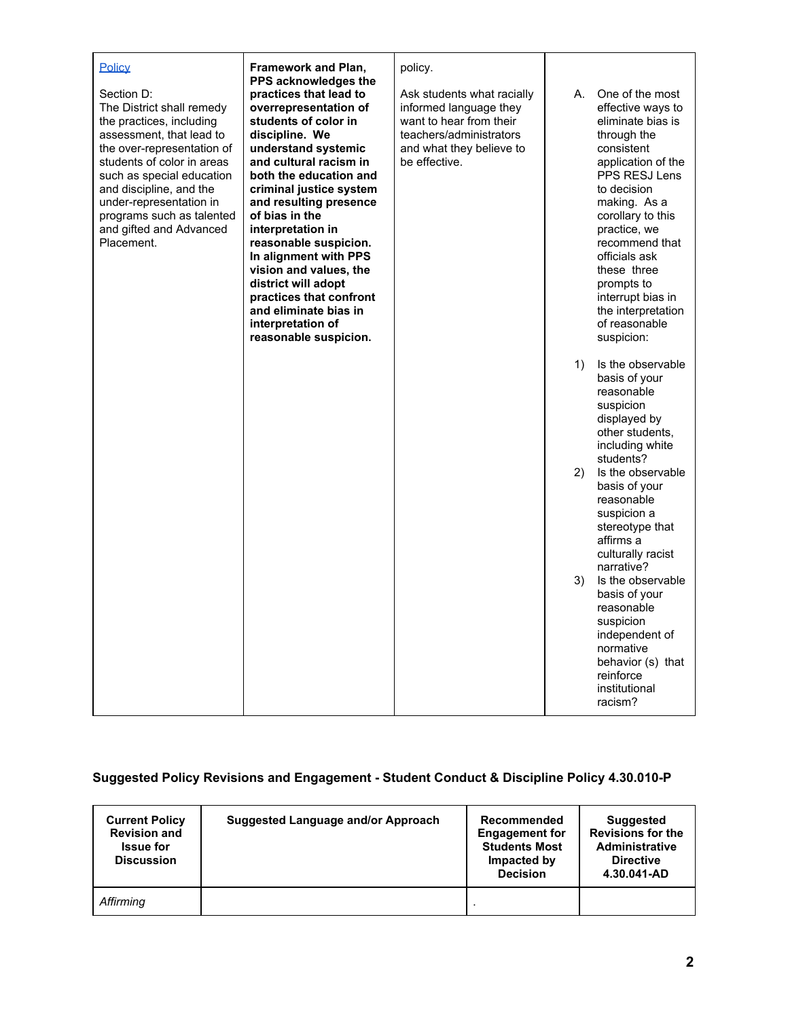| Policy                                                                                                                                                                                                                                                                                                               | <b>Framework and Plan,</b><br>PPS acknowledges the                                                                                                                                                                                                                                                                                                                                                                                                                    | policy.                                                                                                                                                 |    |                                                                                                                                                                                                                                                                                                                                             |
|----------------------------------------------------------------------------------------------------------------------------------------------------------------------------------------------------------------------------------------------------------------------------------------------------------------------|-----------------------------------------------------------------------------------------------------------------------------------------------------------------------------------------------------------------------------------------------------------------------------------------------------------------------------------------------------------------------------------------------------------------------------------------------------------------------|---------------------------------------------------------------------------------------------------------------------------------------------------------|----|---------------------------------------------------------------------------------------------------------------------------------------------------------------------------------------------------------------------------------------------------------------------------------------------------------------------------------------------|
| Section D:<br>The District shall remedy<br>the practices, including<br>assessment, that lead to<br>the over-representation of<br>students of color in areas<br>such as special education<br>and discipline, and the<br>under-representation in<br>programs such as talented<br>and gifted and Advanced<br>Placement. | practices that lead to<br>overrepresentation of<br>students of color in<br>discipline. We<br>understand systemic<br>and cultural racism in<br>both the education and<br>criminal justice system<br>and resulting presence<br>of bias in the<br>interpretation in<br>reasonable suspicion.<br>In alignment with PPS<br>vision and values, the<br>district will adopt<br>practices that confront<br>and eliminate bias in<br>interpretation of<br>reasonable suspicion. | Ask students what racially<br>informed language they<br>want to hear from their<br>teachers/administrators<br>and what they believe to<br>be effective. | А. | One of the most<br>effective ways to<br>eliminate bias is<br>through the<br>consistent<br>application of the<br>PPS RESJ Lens<br>to decision<br>making. As a<br>corollary to this<br>practice, we<br>recommend that<br>officials ask<br>these three<br>prompts to<br>interrupt bias in<br>the interpretation<br>of reasonable<br>suspicion: |
|                                                                                                                                                                                                                                                                                                                      |                                                                                                                                                                                                                                                                                                                                                                                                                                                                       |                                                                                                                                                         | 1) | Is the observable<br>basis of your<br>reasonable<br>suspicion<br>displayed by<br>other students.<br>including white<br>students?                                                                                                                                                                                                            |
|                                                                                                                                                                                                                                                                                                                      |                                                                                                                                                                                                                                                                                                                                                                                                                                                                       |                                                                                                                                                         | 2) | Is the observable<br>basis of your<br>reasonable<br>suspicion a<br>stereotype that<br>affirms a<br>culturally racist<br>narrative?                                                                                                                                                                                                          |
|                                                                                                                                                                                                                                                                                                                      |                                                                                                                                                                                                                                                                                                                                                                                                                                                                       |                                                                                                                                                         | 3) | Is the observable<br>basis of your<br>reasonable<br>suspicion<br>independent of<br>normative<br>behavior (s) that<br>reinforce<br>institutional<br>racism?                                                                                                                                                                                  |

## **Suggested Policy Revisions and Engagement - Student Conduct & Discipline Policy 4.30.010-P**

| <b>Current Policy</b><br><b>Revision and</b><br><b>Issue for</b><br><b>Discussion</b> | <b>Suggested Language and/or Approach</b> | Recommended<br><b>Engagement for</b><br><b>Students Most</b><br>Impacted by<br><b>Decision</b> | <b>Suggested</b><br><b>Revisions for the</b><br><b>Administrative</b><br><b>Directive</b><br>4.30.041-AD |
|---------------------------------------------------------------------------------------|-------------------------------------------|------------------------------------------------------------------------------------------------|----------------------------------------------------------------------------------------------------------|
| Affirming                                                                             |                                           |                                                                                                |                                                                                                          |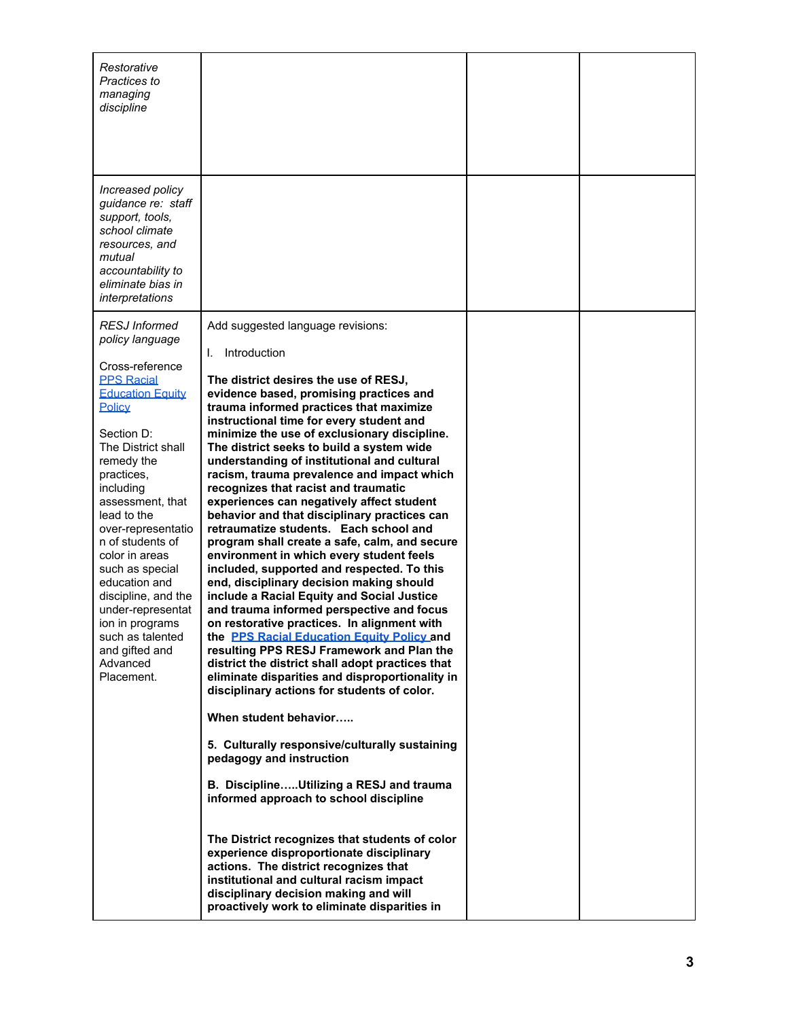| Restorative<br>Practices to<br>managing<br>discipline                                                                                                                                                                                                                                                                                                                                                                                                               |                                                                                                                                                                                                                                                                                                                                                                                                                                                                                                                                                                                                                                                                                                                                                                                                                                                                                                                                                                                                                                                                                                                                                                                                                                                                                                                                                                                                                                                                                                                                                                                                                                                                        |  |
|---------------------------------------------------------------------------------------------------------------------------------------------------------------------------------------------------------------------------------------------------------------------------------------------------------------------------------------------------------------------------------------------------------------------------------------------------------------------|------------------------------------------------------------------------------------------------------------------------------------------------------------------------------------------------------------------------------------------------------------------------------------------------------------------------------------------------------------------------------------------------------------------------------------------------------------------------------------------------------------------------------------------------------------------------------------------------------------------------------------------------------------------------------------------------------------------------------------------------------------------------------------------------------------------------------------------------------------------------------------------------------------------------------------------------------------------------------------------------------------------------------------------------------------------------------------------------------------------------------------------------------------------------------------------------------------------------------------------------------------------------------------------------------------------------------------------------------------------------------------------------------------------------------------------------------------------------------------------------------------------------------------------------------------------------------------------------------------------------------------------------------------------------|--|
| Increased policy<br>guidance re: staff<br>support, tools,<br>school climate<br>resources, and<br>mutual<br>accountability to<br>eliminate bias in<br>interpretations                                                                                                                                                                                                                                                                                                |                                                                                                                                                                                                                                                                                                                                                                                                                                                                                                                                                                                                                                                                                                                                                                                                                                                                                                                                                                                                                                                                                                                                                                                                                                                                                                                                                                                                                                                                                                                                                                                                                                                                        |  |
| <b>RESJ</b> Informed<br>policy language<br>Cross-reference<br><b>PPS Racial</b><br><b>Education Equity</b><br>Policy<br>Section D:<br>The District shall<br>remedy the<br>practices,<br>including<br>assessment, that<br>lead to the<br>over-representatio<br>n of students of<br>color in areas<br>such as special<br>education and<br>discipline, and the<br>under-representat<br>ion in programs<br>such as talented<br>and gifted and<br>Advanced<br>Placement. | Add suggested language revisions:<br>Introduction<br>I.<br>The district desires the use of RESJ,<br>evidence based, promising practices and<br>trauma informed practices that maximize<br>instructional time for every student and<br>minimize the use of exclusionary discipline.<br>The district seeks to build a system wide<br>understanding of institutional and cultural<br>racism, trauma prevalence and impact which<br>recognizes that racist and traumatic<br>experiences can negatively affect student<br>behavior and that disciplinary practices can<br>retraumatize students. Each school and<br>program shall create a safe, calm, and secure<br>environment in which every student feels<br>included, supported and respected. To this<br>end, disciplinary decision making should<br>include a Racial Equity and Social Justice<br>and trauma informed perspective and focus<br>on restorative practices. In alignment with<br>the PPS Racial Education Equity Policy and<br>resulting PPS RESJ Framework and Plan the<br>district the district shall adopt practices that<br>eliminate disparities and disproportionality in<br>disciplinary actions for students of color.<br>When student behavior<br>5. Culturally responsive/culturally sustaining<br>pedagogy and instruction<br>B. DisciplineUtilizing a RESJ and trauma<br>informed approach to school discipline<br>The District recognizes that students of color<br>experience disproportionate disciplinary<br>actions. The district recognizes that<br>institutional and cultural racism impact<br>disciplinary decision making and will<br>proactively work to eliminate disparities in |  |